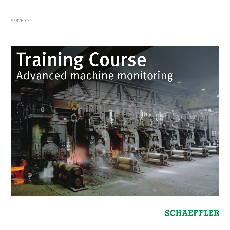SERVICES

# Training Course Advanced machine monitoring

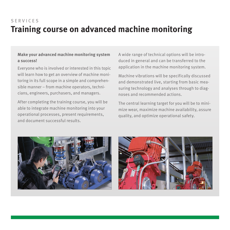# **Training course on advanced machine monitoring** SERVICES

### **Make your advanced machine monitoring system a success!**

Everyone who is involved or interested in this topic will learn how to get an overview of machine monitoring in its full scope in a simple and comprehensible manner – from machine operators, technicians, engineers, purchasers, and managers.

After completing the training course, you will be able to integrate machine monitoring into your operational processes, present requirements, and document successful results.

A wide range of technical options will be introduced in general and can be transferred to the application in the machine monitoring system.

Machine vibrations will be specifically discussed and demonstrated live, starting from basic measuring technology and analyses through to diagnoses and recommended actions.

The central learning target for you will be to minimize wear, maximize machine availability, assure quality, and optimize operational safety.



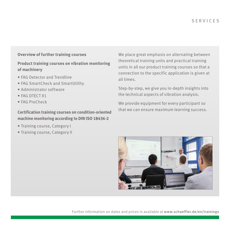## **Overview of further training courses**

# **Product training courses on vibration monitoring of machinery**

- FAG Detector and Trendline
- FAG SmartCheck and SmartUtility
- Administrator software
- FAG DTECT X1
- FAG ProCheck

### **Certification training courses on condition-oriented machine monitoring according to DIN ISO 18436-2**

- Training course, Category I
- Training course, Category II

We place great emphasis on alternating between theoretical training units and practical training units in all our product training courses so that a connection to the specific application is given at all times.

Step-by-step, we give you in-depth insights into the technical aspects of vibration analysis.

We provide equipment for every participant so that we can ensure maximum learning success.